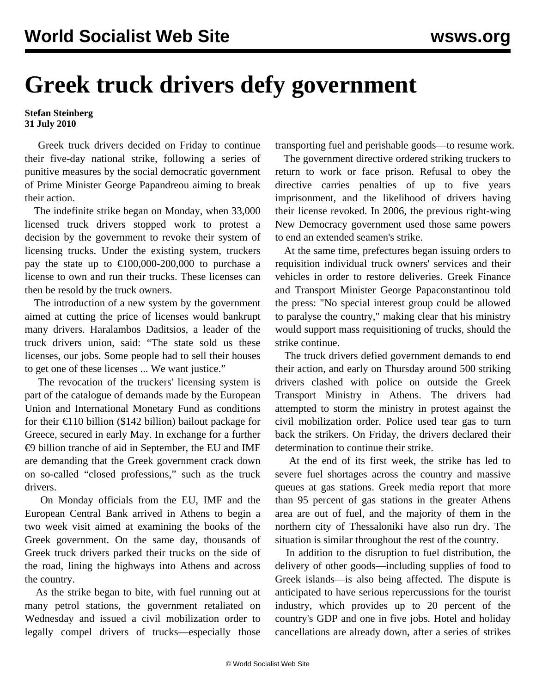## **Greek truck drivers defy government**

## **Stefan Steinberg 31 July 2010**

 Greek truck drivers decided on Friday to continue their five-day national strike, following a series of punitive measures by the social democratic government of Prime Minister George Papandreou aiming to break their action.

 The indefinite strike began on Monday, when 33,000 licensed truck drivers stopped work to protest a decision by the government to revoke their system of licensing trucks. Under the existing system, truckers pay the state up to  $\text{\textsterling}100,000\text{-}200,000$  to purchase a license to own and run their trucks. These licenses can then be resold by the truck owners.

 The introduction of a new system by the government aimed at cutting the price of licenses would bankrupt many drivers. Haralambos Daditsios, a leader of the truck drivers union, said: "The state sold us these licenses, our jobs. Some people had to sell their houses to get one of these licenses ... We want justice."

 The revocation of the truckers' licensing system is part of the catalogue of demands made by the European Union and International Monetary Fund as conditions for their €110 billion (\$142 billion) bailout package for Greece, secured in early May. In exchange for a further €9 billion tranche of aid in September, the EU and IMF are demanding that the Greek government crack down on so-called "closed professions," such as the truck drivers.

 On Monday officials from the EU, IMF and the European Central Bank arrived in Athens to begin a two week visit aimed at examining the books of the Greek government. On the same day, thousands of Greek truck drivers parked their trucks on the side of the road, lining the highways into Athens and across the country.

 As the strike began to bite, with fuel running out at many petrol stations, the government retaliated on Wednesday and issued a civil mobilization order to legally compel drivers of trucks—especially those transporting fuel and perishable goods—to resume work.

 The government directive ordered striking truckers to return to work or face prison. Refusal to obey the directive carries penalties of up to five years imprisonment, and the likelihood of drivers having their license revoked. In 2006, the previous right-wing New Democracy government used those same powers to end an extended seamen's strike.

 At the same time, prefectures began issuing orders to requisition individual truck owners' services and their vehicles in order to restore deliveries. Greek Finance and Transport Minister George Papaconstantinou told the press: "No special interest group could be allowed to paralyse the country," making clear that his ministry would support mass requisitioning of trucks, should the strike continue.

 The truck drivers defied government demands to end their action, and early on Thursday around 500 striking drivers clashed with police on outside the Greek Transport Ministry in Athens. The drivers had attempted to storm the ministry in protest against the civil mobilization order. Police used tear gas to turn back the strikers. On Friday, the drivers declared their determination to continue their strike.

 At the end of its first week, the strike has led to severe fuel shortages across the country and massive queues at gas stations. Greek media report that more than 95 percent of gas stations in the greater Athens area are out of fuel, and the majority of them in the northern city of Thessaloniki have also run dry. The situation is similar throughout the rest of the country.

 In addition to the disruption to fuel distribution, the delivery of other goods—including supplies of food to Greek islands—is also being affected. The dispute is anticipated to have serious repercussions for the tourist industry, which provides up to 20 percent of the country's GDP and one in five jobs. Hotel and holiday cancellations are already down, after a series of strikes